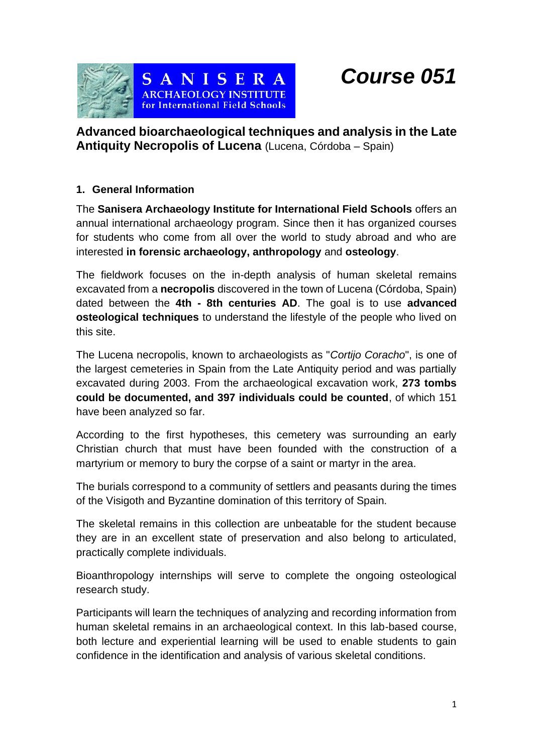*Course 051*



**Advanced bioarchaeological techniques and analysis in the Late Antiquity Necropolis of Lucena** (Lucena, Córdoba – Spain)

## **1. General Information**

The **Sanisera Archaeology Institute for International Field Schools** offers an annual international archaeology program. Since then it has organized courses for students who come from all over the world to study abroad and who are interested **in forensic archaeology, anthropology** and **osteology**.

The fieldwork focuses on the in-depth analysis of human skeletal remains excavated from a **necropolis** discovered in the town of Lucena (Córdoba, Spain) dated between the **4th - 8th centuries AD**. The goal is to use **advanced osteological techniques** to understand the lifestyle of the people who lived on this site.

The Lucena necropolis, known to archaeologists as "*Cortijo Coracho*", is one of the largest cemeteries in Spain from the Late Antiquity period and was partially excavated during 2003. From the archaeological excavation work, **273 tombs could be documented, and 397 individuals could be counted**, of which 151 have been analyzed so far.

According to the first hypotheses, this cemetery was surrounding an early Christian church that must have been founded with the construction of a martyrium or memory to bury the corpse of a saint or martyr in the area.

The burials correspond to a community of settlers and peasants during the times of the Visigoth and Byzantine domination of this territory of Spain.

The skeletal remains in this collection are unbeatable for the student because they are in an excellent state of preservation and also belong to articulated, practically complete individuals.

Bioanthropology internships will serve to complete the ongoing osteological research study.

Participants will learn the techniques of analyzing and recording information from human skeletal remains in an archaeological context. In this lab-based course, both lecture and experiential learning will be used to enable students to gain confidence in the identification and analysis of various skeletal conditions.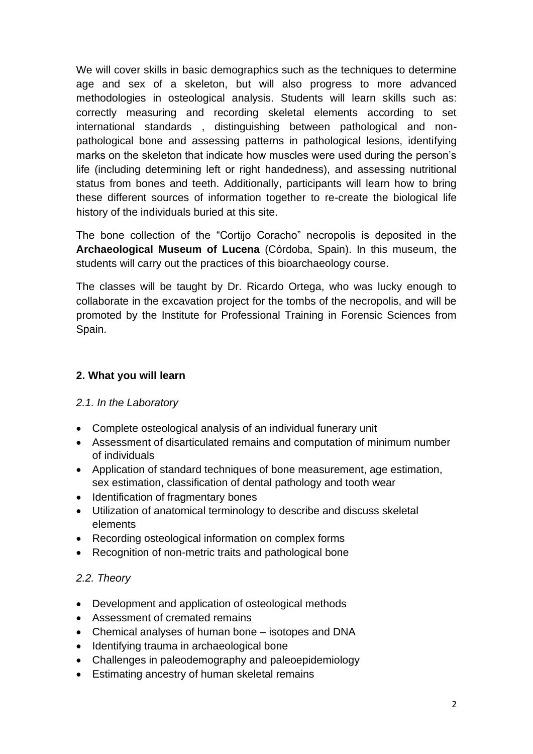We will cover skills in basic demographics such as the techniques to determine age and sex of a skeleton, but will also progress to more advanced methodologies in osteological analysis. Students will learn skills such as: correctly measuring and recording skeletal elements according to set international standards , distinguishing between pathological and nonpathological bone and assessing patterns in pathological lesions, identifying marks on the skeleton that indicate how muscles were used during the person's life (including determining left or right handedness), and assessing nutritional status from bones and teeth. Additionally, participants will learn how to bring these different sources of information together to re-create the biological life history of the individuals buried at this site.

The bone collection of the "Cortijo Coracho" necropolis is deposited in the **Archaeological Museum of Lucena** (Córdoba, Spain). In this museum, the students will carry out the practices of this bioarchaeology course.

The classes will be taught by Dr. Ricardo Ortega, who was lucky enough to collaborate in the excavation project for the tombs of the necropolis, and will be promoted by the Institute for Professional Training in Forensic Sciences from Spain.

# **2. What you will learn**

## *2.1. In the Laboratory*

- Complete osteological analysis of an individual funerary unit
- Assessment of disarticulated remains and computation of minimum number of individuals
- Application of standard techniques of bone measurement, age estimation, sex estimation, classification of dental pathology and tooth wear
- Identification of fragmentary bones
- Utilization of anatomical terminology to describe and discuss skeletal elements
- Recording osteological information on complex forms
- Recognition of non-metric traits and pathological bone

# *2.2. Theory*

- Development and application of osteological methods
- Assessment of cremated remains
- Chemical analyses of human bone isotopes and DNA
- Identifying trauma in archaeological bone
- Challenges in paleodemography and paleoepidemiology
- Estimating ancestry of human skeletal remains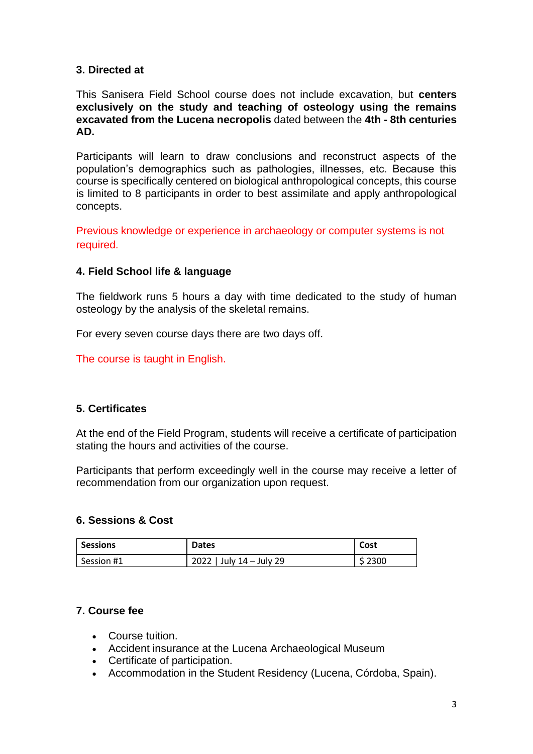#### **3. Directed at**

This Sanisera Field School course does not include excavation, but **centers exclusively on the study and teaching of osteology using the remains excavated from the Lucena necropolis** dated between the **4th - 8th centuries AD.**

Participants will learn to draw conclusions and reconstruct aspects of the population's demographics such as pathologies, illnesses, etc. Because this course is specifically centered on biological anthropological concepts, this course is limited to 8 participants in order to best assimilate and apply anthropological concepts.

Previous knowledge or experience in archaeology or computer systems is not required.

#### **4. Field School life & language**

The fieldwork runs 5 hours a day with time dedicated to the study of human osteology by the analysis of the skeletal remains.

For every seven course days there are two days off.

The course is taught in English.

## **5. Certificates**

At the end of the Field Program, students will receive a certificate of participation stating the hours and activities of the course.

Participants that perform exceedingly well in the course may receive a letter of recommendation from our organization upon request.

#### **6. Sessions & Cost**

| <b>Sessions</b> | <b>Dates</b>             | Cost    |
|-----------------|--------------------------|---------|
| Session #1      | 2022   July 14 - July 29 | \$ 2300 |

## **7. Course fee**

- Course tuition.
- Accident insurance at the Lucena Archaeological Museum
- Certificate of participation.
- Accommodation in the Student Residency (Lucena, Córdoba, Spain).